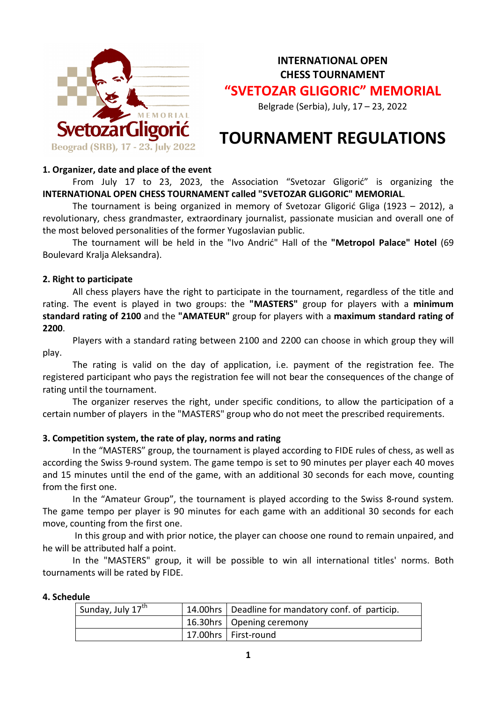

**INTERNATIONAL OPEN CHESS TOURNAMENT "SVETOZAR GLIGORIC" MEMORIAL**

Belgrade (Serbia), July, 17 – 23, 2022

# **TOURNAMENT REGULATIONS**

### **1. Organizer, date and place of the event**

From July 17 to 23, 2023, the Association "Svetozar Gligorić" is organizing the **INTERNATIONAL OPEN CHESS TOURNAMENT called "SVETOZAR GLIGORIC" MEMORIAL**.

The tournament is being organized in memory of Svetozar Gligorić Gliga (1923 – 2012), a revolutionary, chess grandmaster, extraordinary journalist, passionate musician and overall one of the most beloved personalities of the former Yugoslavian public.

The tournament will be held in the "Ivo Andrić" Hall of the **"Metropol Palace" Hotel** (69 Boulevard Kralja Aleksandra).

# **2. Right to participate**

All chess players have the right to participate in the tournament, regardless of the title and rating. The event is played in two groups: the **"MASTERS"** group for players with a **minimum standard rating of 2100** and the **"AMATEUR"** group for players with a **maximum standard rating of 2200**.

Players with a standard rating between 2100 and 2200 can choose in which group they will play.

The rating is valid on the day of application, i.e. payment of the registration fee. The registered participant who pays the registration fee will not bear the consequences of the change of rating until the tournament.

The organizer reserves the right, under specific conditions, to allow the participation of a certain number of players in the "MASTERS" group who do not meet the prescribed requirements.

# **3. Competition system, the rate of play, norms and rating**

In the "MASTERS" group, the tournament is played according to FIDE rules of chess, as well as according the Swiss 9-round system. The game tempo is set to 90 minutes per player each 40 moves and 15 minutes until the end of the game, with an additional 30 seconds for each move, counting from the first one.

In the "Amateur Group", the tournament is played according to the Swiss 8-round system. The game tempo per player is 90 minutes for each game with an additional 30 seconds for each move, counting from the first one.

In this group and with prior notice, the player can choose one round to remain unpaired, and he will be attributed half a point.

In the "MASTERS" group, it will be possible to win all international titles' norms. Both tournaments will be rated by FIDE.

#### **4. Schedule**

| Sunday, July 17 <sup>th</sup> | 14.00hrs   Deadline for mandatory conf. of particip. |  |
|-------------------------------|------------------------------------------------------|--|
|                               | 16.30hrs   Opening ceremony                          |  |
|                               | 17.00hrs   First-round                               |  |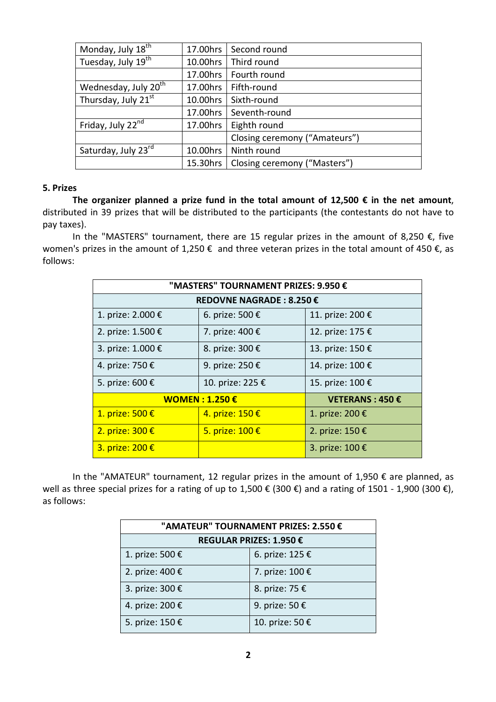| Monday, July 18 <sup>th</sup>    | 17.00hrs | Second round                  |
|----------------------------------|----------|-------------------------------|
| Tuesday, July 19 <sup>th</sup>   | 10.00hrs | Third round                   |
|                                  | 17.00hrs | Fourth round                  |
| Wednesday, July 20 <sup>th</sup> | 17.00hrs | Fifth-round                   |
| Thursday, July $21^{st}$         | 10.00hrs | Sixth-round                   |
|                                  | 17.00hrs | Seventh-round                 |
| Friday, July 22 <sup>nd</sup>    | 17.00hrs | Eighth round                  |
|                                  |          | Closing ceremony ("Amateurs") |
| Saturday, July 23rd              | 10.00hrs | Ninth round                   |
|                                  | 15.30hrs | Closing ceremony ("Masters")  |

#### **5. Prizes**

**The organizer planned a prize fund in the total amount of 12,500 € in the net amount**, distributed in 39 prizes that will be distributed to the participants (the contestants do not have to pay taxes).

In the "MASTERS" tournament, there are 15 regular prizes in the amount of 8,250 €, five women's prizes in the amount of 1,250  $\epsilon$  and three veteran prizes in the total amount of 450  $\epsilon$ , as follows:

| "MASTERS" TOURNAMENT PRIZES: 9.950 € |                  |                  |  |  |  |  |
|--------------------------------------|------------------|------------------|--|--|--|--|
| REDOVNE NAGRADE: 8.250 €             |                  |                  |  |  |  |  |
| 1. prize: 2.000 €                    | 6. prize: 500 €  | 11. prize: 200 € |  |  |  |  |
| 2. prize: 1.500 €                    | 7. prize: 400 €  | 12. prize: 175 € |  |  |  |  |
| 3. prize: 1.000 €                    | 8. prize: 300 €  | 13. prize: 150 € |  |  |  |  |
| 4. prize: 750 €                      | 9. prize: 250 €  | 14. prize: 100 € |  |  |  |  |
| 5. prize: 600 €                      | 10. prize: 225 € | 15. prize: 100 € |  |  |  |  |
| <b>WOMEN: 1.250 €</b>                |                  | VETERANS: 450€   |  |  |  |  |
| 1. prize: 500 €                      | 4. prize: 150 €  | 1. prize: 200 €  |  |  |  |  |
| 2. prize: 300 €                      | 5. prize: 100 €  | 2. prize: 150 €  |  |  |  |  |
| 3. prize: 200 €                      |                  | 3. prize: 100 €  |  |  |  |  |

In the "AMATEUR" tournament, 12 regular prizes in the amount of 1,950  $\epsilon$  are planned, as well as three special prizes for a rating of up to 1,500 € (300 €) and a rating of 1501 - 1,900 (300 €), as follows:

| "AMATEUR" TOURNAMENT PRIZES: 2.550 € |                 |  |  |
|--------------------------------------|-----------------|--|--|
| REGULAR PRIZES: 1.950 €              |                 |  |  |
| 1. prize: 500 €                      | 6. prize: 125 € |  |  |
| 2. prize: 400 €                      | 7. prize: 100 € |  |  |
| 3. prize: 300 €                      | 8. prize: 75 €  |  |  |
| 4. prize: 200 €                      | 9. prize: 50 €  |  |  |
| 5. prize: 150 €                      | 10. prize: 50 € |  |  |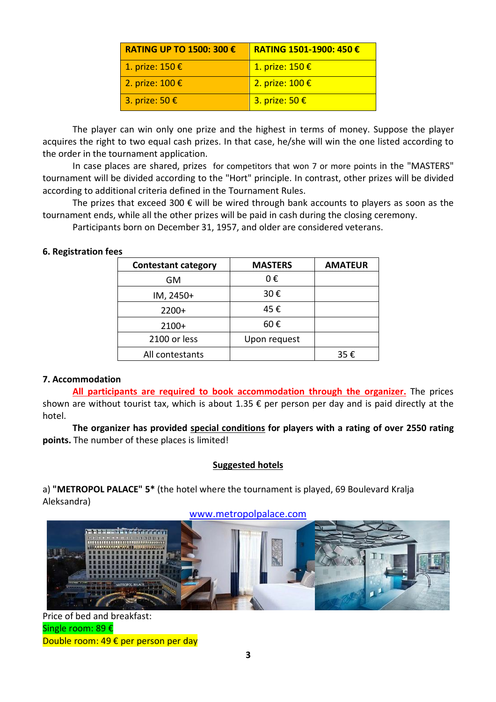| <b>RATING UP TO 1500: 300 €</b> | RATING 1501-1900: 450€    |
|---------------------------------|---------------------------|
| 1. prize: 150 €                 | 1. prize: 150 €           |
| 2. prize: $100 \text{ E}$       | 2. prize: $100 \text{ E}$ |
| 3. prize: 50 $\epsilon$         | 3. prize: 50 €            |

The player can win only one prize and the highest in terms of money. Suppose the player acquires the right to two equal cash prizes. In that case, he/she will win the one listed according to the order in the tournament application.

In case places are shared, prizes for competitors that won 7 or more points in the "MASTERS" tournament will be divided according to the "Hort" principle. In contrast, other prizes will be divided according to additional criteria defined in the Tournament Rules.

The prizes that exceed 300  $\epsilon$  will be wired through bank accounts to players as soon as the tournament ends, while all the other prizes will be paid in cash during the closing ceremony.

Participants born on December 31, 1957, and older are considered veterans.

#### **6. Registration fees**

| <b>Contestant category</b> | <b>MASTERS</b> | <b>AMATEUR</b> |
|----------------------------|----------------|----------------|
| GM                         | 0€             |                |
| IM, 2450+                  | 30€            |                |
| $2200+$                    | 45€            |                |
| $2100+$                    | 60€            |                |
| 2100 or less               | Upon request   |                |
| All contestants            |                | 35€            |

#### **7. Accommodation**

**All participants are required to book accommodation through the organizer.** The prices shown are without tourist tax, which is about 1.35  $\epsilon$  per person per day and is paid directly at the hotel.

**The organizer has provided special conditions for players with a rating of over 2550 rating points.** The number of these places is limited!

#### **Suggested hotels**

a) **"METROPOL PALACE" 5\*** (the hotel where the tournament is played, 69 Boulevard Kralja Aleksandra)



Price of bed and breakfast: Single room: 89 € Double room: 49 € per person per day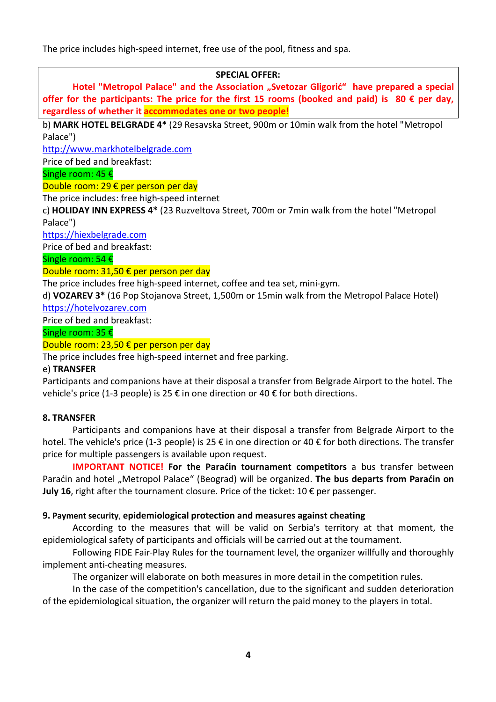The price includes high-speed internet, free use of the pool, fitness and spa.

# **SPECIAL OFFER:**

Hotel "Metropol Palace" and the Association "Svetozar Gligorić" have prepared a special **offer for the participants: The price for the first 15 rooms (booked and paid) is 80 € per day, regardless of whether it accommodates one or two people!**

b) **MARK HOTEL BELGRADE 4\*** (29 Resavska Street, 900m or 10min walk from the hotel "Metropol Palace")

http://www.markhotelbelgrade.com

Price of bed and breakfast:

Single room: 45 €

Double room: 29 € per person per day

The price includes: free high-speed internet

c) **HOLIDAY INN EXPRESS 4\*** (23 Ruzveltova Street, 700m or 7min walk from the hotel "Metropol Palace")

https://hiexbelgrade.com

Price of bed and breakfast:

Single room: 54 €

Double room: 31,50 € per person per day

The price includes free high-speed internet, coffee and tea set, mini-gym.

d) **VOZAREV 3\*** (16 Pop Stojanova Street, 1,500m or 15min walk from the Metropol Palace Hotel)

https://hotelvozarev.com

Price of bed and breakfast:

Single room: 35 €

Double room: 23,50 € per person per day

The price includes free high-speed internet and free parking.

#### e) **TRANSFER**

Participants and companions have at their disposal a transfer from Belgrade Airport to the hotel. The vehicle's price (1-3 people) is 25 € in one direction or 40 € for both directions.

#### **8. TRANSFER**

Participants and companions have at their disposal a transfer from Belgrade Airport to the hotel. The vehicle's price (1-3 people) is 25 € in one direction or 40 € for both directions. The transfer price for multiple passengers is available upon request.

**IMPORTANT NOTICE! For the Paraćin tournament competitors** a bus transfer between Paraćin and hotel "Metropol Palace" (Beograd) will be organized. **The bus departs from Paraćin on** July 16, right after the tournament closure. Price of the ticket: 10 € per passenger.

#### **9. Payment security**, **epidemiological protection and measures against cheating**

According to the measures that will be valid on Serbia's territory at that moment, the epidemiological safety of participants and officials will be carried out at the tournament.

Following FIDE Fair-Play Rules for the tournament level, the organizer willfully and thoroughly implement anti-cheating measures.

The organizer will elaborate on both measures in more detail in the competition rules.

In the case of the competition's cancellation, due to the significant and sudden deterioration of the epidemiological situation, the organizer will return the paid money to the players in total.